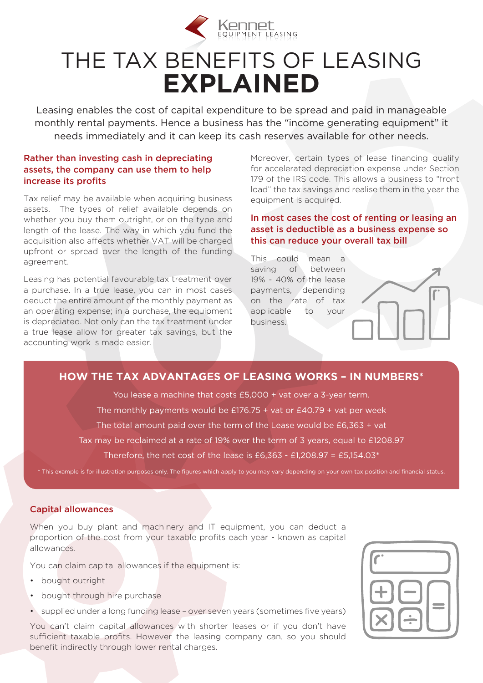

## THE TAX BENEFITS OF LEASING **EXPLAINED**

Leasing enables the cost of capital expenditure to be spread and paid in manageable monthly rental payments. Hence a business has the "income generating equipment" it needs immediately and it can keep its cash reserves available for other needs.

#### Rather than investing cash in depreciating assets, the company can use them to help increase its profits

Tax relief may be available when acquiring business assets. The types of relief available depends on whether you buy them outright, or on the type and length of the lease. The way in which you fund the acquisition also affects whether VAT will be charged upfront or spread over the length of the funding agreement.

Leasing has potential favourable tax treatment over a purchase. In a true lease, you can in most cases deduct the entire amount of the monthly payment as an operating expense; in a purchase, the equipment is depreciated. Not only can the tax treatment under a true lease allow for greater tax savings, but the accounting work is made easier.

Moreover, certain types of lease financing qualify for accelerated depreciation expense under Section 179 of the IRS code. This allows a business to "front load" the tax savings and realise them in the year the equipment is acquired.

In most cases the cost of renting or leasing an asset is deductible as a business expense so this can reduce your overall tax bill

This could mean a saving of between 19% - 40% of the lease payments, depending on the rate of tax applicable to your business.



#### **HOW THE TAX ADVANTAGES OF LEASING WORKS – IN NUMBERS\***

You lease a machine that costs £5,000 + vat over a 3-year term. The monthly payments would be  $£176.75 + \text{vat}$  or  $£40.79 + \text{vat}$  per week

The total amount paid over the term of the Lease would be £6,363 + vat

Tax may be reclaimed at a rate of 19% over the term of 3 years, equal to £1208.97

Therefore, the net cost of the lease is £6,363 - £1,208.97 = £5,154.03 $*$ 

\* This example is for illustration purposes only. The figures which apply to you may vary depending on your own tax position and financial status.

#### Capital allowances

When you buy plant and machinery and IT equipment, you can deduct a proportion of the cost from your taxable profits each year - known as capital allowances.

You can claim capital allowances if the equipment is:

- bought outright
- bought through hire purchase
- supplied under a long funding lease over seven years (sometimes five years)

You can't claim capital allowances with shorter leases or if you don't have sufficient taxable profits. However the leasing company can, so you should benefit indirectly through lower rental charges.